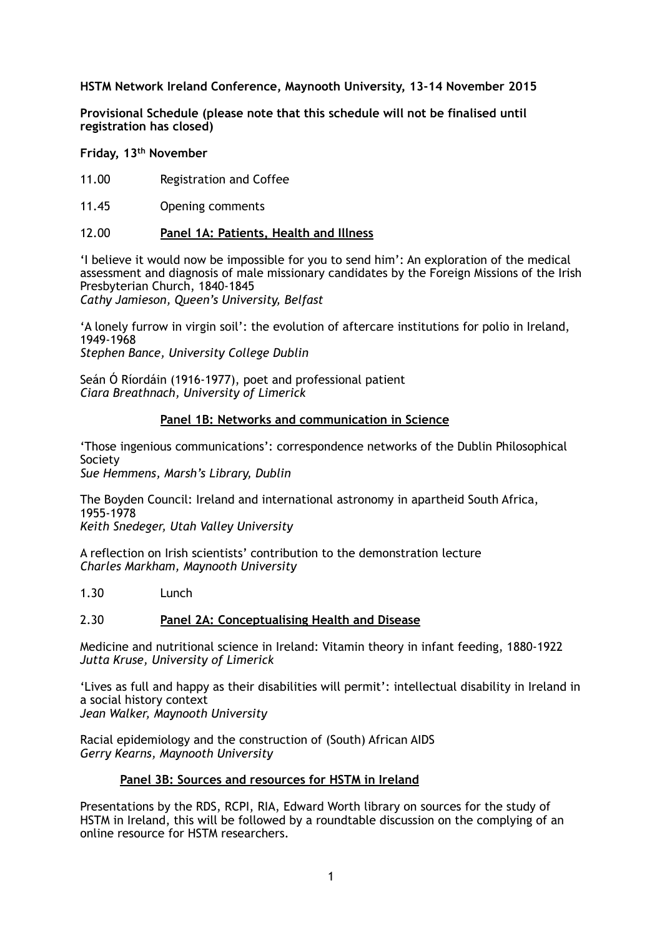# **HSTM Network Ireland Conference, Maynooth University, 13-14 November 2015**

**Provisional Schedule (please note that this schedule will not be finalised until registration has closed)** 

**Friday, 13th November** 

- 11.00 Registration and Coffee
- 11.45 Opening comments

## 12.00 **Panel 1A: Patients, Health and Illness**

'I believe it would now be impossible for you to send him': An exploration of the medical assessment and diagnosis of male missionary candidates by the Foreign Missions of the Irish Presbyterian Church, 1840-1845

*Cathy Jamieson, Queen's University, Belfast*

'A lonely furrow in virgin soil': the evolution of aftercare institutions for polio in Ireland, 1949-1968 *Stephen Bance, University College Dublin*

Seán Ó Ríordáin (1916-1977), poet and professional patient *Ciara Breathnach, University of Limerick*

## **Panel 1B: Networks and communication in Science**

'Those ingenious communications': correspondence networks of the Dublin Philosophical Society

*Sue Hemmens, Marsh's Library, Dublin*

The Boyden Council: Ireland and international astronomy in apartheid South Africa, 1955-1978 *Keith Snedeger, Utah Valley University*

A reflection on Irish scientists' contribution to the demonstration lecture *Charles Markham, Maynooth University*

1.30 Lunch

#### 2.30 **Panel 2A: Conceptualising Health and Disease**

Medicine and nutritional science in Ireland: Vitamin theory in infant feeding, 1880-1922 *Jutta Kruse, University of Limerick*

'Lives as full and happy as their disabilities will permit': intellectual disability in Ireland in a social history context *Jean Walker, Maynooth University*

Racial epidemiology and the construction of (South) African AIDS *Gerry Kearns, Maynooth University*

#### **Panel 3B: Sources and resources for HSTM in Ireland**

Presentations by the RDS, RCPI, RIA, Edward Worth library on sources for the study of HSTM in Ireland, this will be followed by a roundtable discussion on the complying of an online resource for HSTM researchers.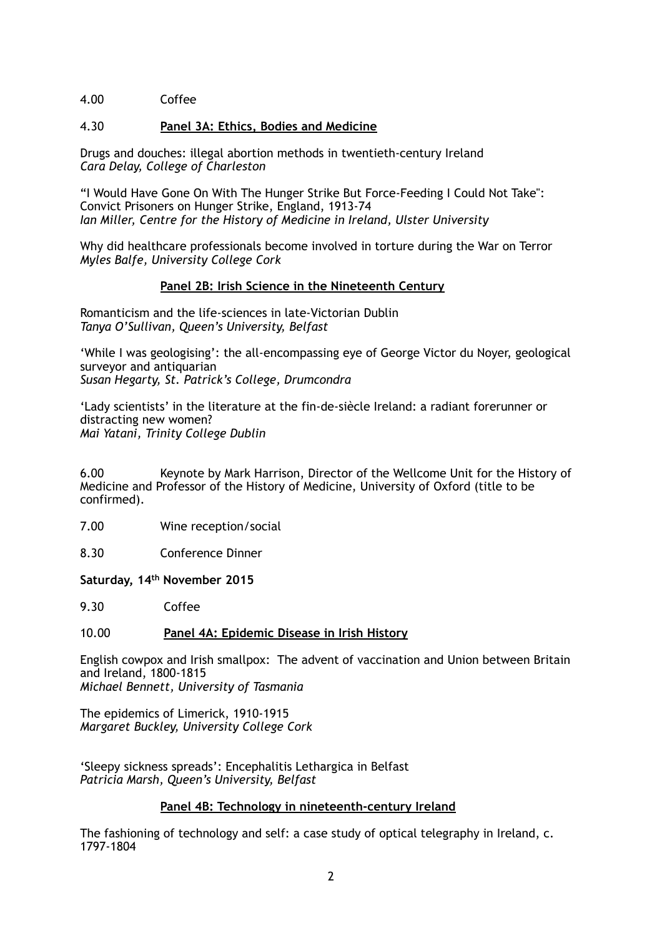# 4.00 Coffee

## 4.30 **Panel 3A: Ethics, Bodies and Medicine**

Drugs and douches: illegal abortion methods in twentieth-century Ireland *Cara Delay, College of Charleston*

"I Would Have Gone On With The Hunger Strike But Force-Feeding I Could Not Take": Convict Prisoners on Hunger Strike, England, 1913-74 *Ian Miller, Centre for the History of Medicine in Ireland, Ulster University*

Why did healthcare professionals become involved in torture during the War on Terror *Myles Balfe, University College Cork*

## **Panel 2B: Irish Science in the Nineteenth Century**

Romanticism and the life-sciences in late-Victorian Dublin *Tanya O'Sullivan, Queen's University, Belfast*

'While I was geologising': the all-encompassing eye of George Victor du Noyer, geological surveyor and antiquarian *Susan Hegarty, St. Patrick's College, Drumcondra*

'Lady scientists' in the literature at the fin-de-siècle Ireland: a radiant forerunner or distracting new women? *Mai Yatani, Trinity College Dublin*

6.00 Keynote by Mark Harrison, Director of the Wellcome Unit for the History of Medicine and Professor of the History of Medicine, University of Oxford (title to be confirmed).

- 7.00 Wine reception/social
- 8.30 Conference Dinner

**Saturday, 14th November 2015**

9.30 Coffee

#### 10.00 **Panel 4A: Epidemic Disease in Irish History**

English cowpox and Irish smallpox: The advent of vaccination and Union between Britain and Ireland, 1800-1815 *Michael Bennett, University of Tasmania*

The epidemics of Limerick, 1910-1915 *Margaret Buckley, University College Cork*

'Sleepy sickness spreads': Encephalitis Lethargica in Belfast *Patricia Marsh, Queen's University, Belfast*

#### **Panel 4B: Technology in nineteenth-century Ireland**

The fashioning of technology and self: a case study of optical telegraphy in Ireland, c. 1797-1804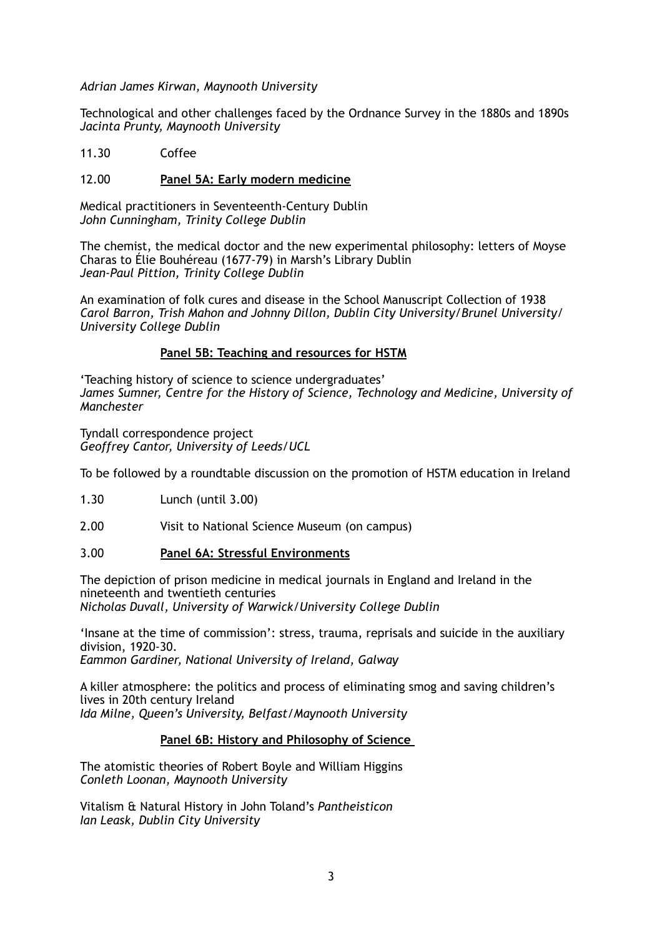*Adrian James Kirwan, Maynooth University*

Technological and other challenges faced by the Ordnance Survey in the 1880s and 1890s *Jacinta Prunty, Maynooth University*

11.30 Coffee

## 12.00 **Panel 5A: Early modern medicine**

Medical practitioners in Seventeenth-Century Dublin *John Cunningham, Trinity College Dublin*

The chemist, the medical doctor and the new experimental philosophy: letters of Moyse Charas to Élie Bouhéreau (1677-79) in Marsh's Library Dublin *Jean-Paul Pittion, Trinity College Dublin*

An examination of folk cures and disease in the School Manuscript Collection of 1938 *Carol Barron, Trish Mahon and Johnny Dillon, Dublin City University/Brunel University/ University College Dublin*

## **Panel 5B: Teaching and resources for HSTM**

'Teaching history of science to science undergraduates' *James Sumner, Centre for the History of Science, Technology and Medicine, University of Manchester*

Tyndall correspondence project *Geoffrey Cantor, University of Leeds/UCL*

To be followed by a roundtable discussion on the promotion of HSTM education in Ireland

1.30 Lunch (until 3.00)

2.00 Visit to National Science Museum (on campus)

# 3.00 **Panel 6A: Stressful Environments**

The depiction of prison medicine in medical journals in England and Ireland in the nineteenth and twentieth centuries *Nicholas Duvall, University of Warwick/University College Dublin*

'Insane at the time of commission': stress, trauma, reprisals and suicide in the auxiliary division, 1920-30. *Eammon Gardiner, National University of Ireland, Galway*

A killer atmosphere: the politics and process of eliminating smog and saving children's lives in 20th century Ireland

*Ida Milne, Queen's University, Belfast/Maynooth University*

## **Panel 6B: History and Philosophy of Science**

The atomistic theories of Robert Boyle and William Higgins *Conleth Loonan, Maynooth University*

Vitalism & Natural History in John Toland's *Pantheisticon Ian Leask, Dublin City University*